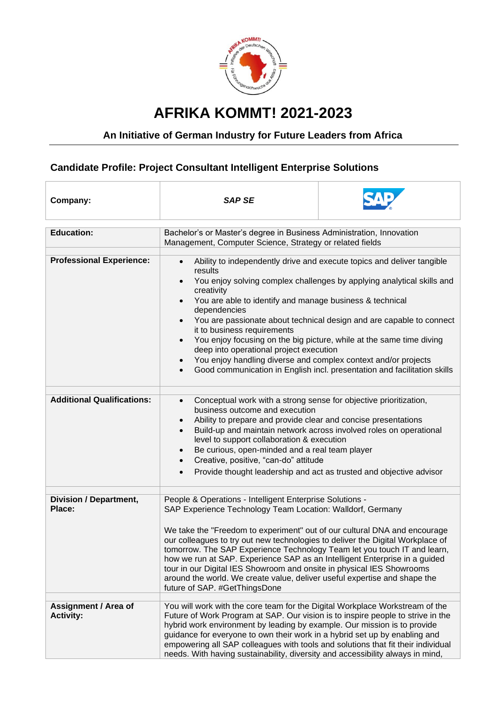

## **AFRIKA KOMMT! 2021-2023**

## **An Initiative of German Industry for Future Leaders from Africa**

## **Candidate Profile: Project Consultant Intelligent Enterprise Solutions**

| Company:                                        | <b>SAP SE</b>                                                                                                                                                                                                                                                                                                                                                                                                                                                                                                                                                                                                                                                                                                            |  |
|-------------------------------------------------|--------------------------------------------------------------------------------------------------------------------------------------------------------------------------------------------------------------------------------------------------------------------------------------------------------------------------------------------------------------------------------------------------------------------------------------------------------------------------------------------------------------------------------------------------------------------------------------------------------------------------------------------------------------------------------------------------------------------------|--|
| <b>Education:</b>                               | Bachelor's or Master's degree in Business Administration, Innovation<br>Management, Computer Science, Strategy or related fields                                                                                                                                                                                                                                                                                                                                                                                                                                                                                                                                                                                         |  |
| <b>Professional Experience:</b>                 | Ability to independently drive and execute topics and deliver tangible<br>$\bullet$<br>results<br>You enjoy solving complex challenges by applying analytical skills and<br>$\bullet$<br>creativity<br>You are able to identify and manage business & technical<br>$\bullet$<br>dependencies<br>You are passionate about technical design and are capable to connect<br>$\bullet$<br>it to business requirements<br>You enjoy focusing on the big picture, while at the same time diving<br>$\bullet$<br>deep into operational project execution<br>You enjoy handling diverse and complex context and/or projects<br>$\bullet$<br>Good communication in English incl. presentation and facilitation skills<br>$\bullet$ |  |
| <b>Additional Qualifications:</b>               | Conceptual work with a strong sense for objective prioritization,<br>$\bullet$<br>business outcome and execution<br>Ability to prepare and provide clear and concise presentations<br>$\bullet$<br>Build-up and maintain network across involved roles on operational<br>$\bullet$<br>level to support collaboration & execution<br>Be curious, open-minded and a real team player<br>$\bullet$<br>Creative, positive, "can-do" attitude<br>$\bullet$<br>Provide thought leadership and act as trusted and objective advisor<br>$\bullet$                                                                                                                                                                                |  |
| <b>Division / Department,</b><br>Place:         | People & Operations - Intelligent Enterprise Solutions -<br>SAP Experience Technology Team Location: Walldorf, Germany<br>We take the "Freedom to experiment" out of our cultural DNA and encourage<br>our colleagues to try out new technologies to deliver the Digital Workplace of<br>tomorrow. The SAP Experience Technology Team let you touch IT and learn,<br>how we run at SAP. Experience SAP as an Intelligent Enterprise in a guided<br>tour in our Digital IES Showroom and onsite in physical IES Showrooms<br>around the world. We create value, deliver useful expertise and shape the<br>future of SAP. #GetThingsDone                                                                                   |  |
| <b>Assignment / Area of</b><br><b>Activity:</b> | You will work with the core team for the Digital Workplace Workstream of the<br>Future of Work Program at SAP. Our vision is to inspire people to strive in the<br>hybrid work environment by leading by example. Our mission is to provide<br>guidance for everyone to own their work in a hybrid set up by enabling and<br>empowering all SAP colleagues with tools and solutions that fit their individual<br>needs. With having sustainability, diversity and accessibility always in mind,                                                                                                                                                                                                                          |  |